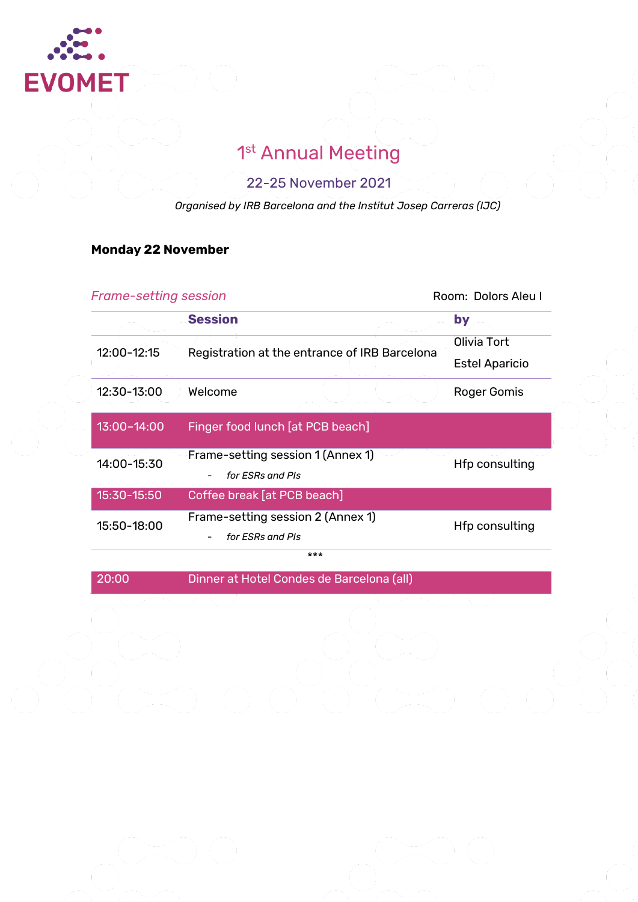

# 1<sup>st</sup> Annual Meeting

22-25 November 2021

*Organised by IRB Barcelona and the Institut Josep Carreras (IJC)*

### **Monday 22 November**

| <b>Frame-setting session</b> |                                                       | Room: Dolors Aleu I                  |
|------------------------------|-------------------------------------------------------|--------------------------------------|
|                              | <b>Session</b>                                        | by                                   |
| 12:00-12:15                  | Registration at the entrance of IRB Barcelona         | Olivia Tort<br><b>Estel Aparicio</b> |
| 12:30-13:00                  | Welcome                                               | Roger Gomis                          |
| 13:00-14:00                  | Finger food lunch [at PCB beach]                      |                                      |
| 14:00-15:30                  | Frame-setting session 1 (Annex 1)<br>for ESRs and Pls | Hfp consulting                       |
| 15:30-15:50                  | Coffee break [at PCB beach]                           |                                      |
| 15:50-18:00                  | Frame-setting session 2 (Annex 1)<br>for ESRs and Pls | Hfp consulting                       |
| ***                          |                                                       |                                      |

20:00 Dinner at Hotel Condes de Barcelona (all)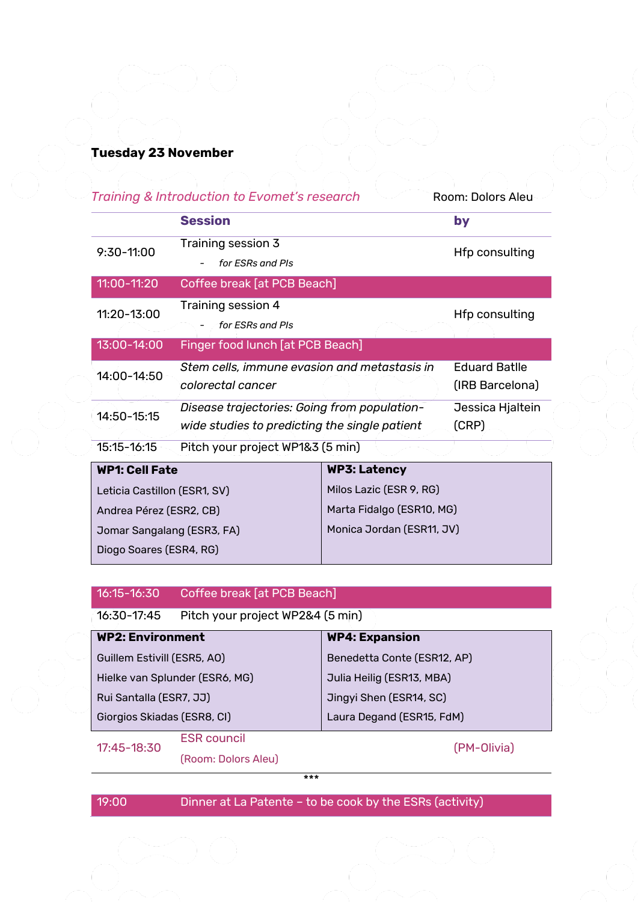## **Tuesday 23 November**

| <b>Training &amp; Introduction to Evomet's research</b><br>Room: Dolors Aleu |                                                                                               |                           |                                         |  |
|------------------------------------------------------------------------------|-----------------------------------------------------------------------------------------------|---------------------------|-----------------------------------------|--|
|                                                                              | <b>Session</b>                                                                                |                           | by                                      |  |
| $9:30 - 11:00$                                                               | Training session 3<br>for ESRs and PIs                                                        |                           | Hfp consulting                          |  |
| 11:00-11:20                                                                  | Coffee break [at PCB Beach]                                                                   |                           |                                         |  |
| 11:20-13:00                                                                  | Training session 4<br>for ESRs and Pls                                                        |                           | Hfp consulting                          |  |
| 13:00-14:00                                                                  | Finger food lunch [at PCB Beach]                                                              |                           |                                         |  |
| 14:00-14:50                                                                  | Stem cells, immune evasion and metastasis in<br>colorectal cancer                             |                           | <b>Eduard Batlle</b><br>(IRB Barcelona) |  |
| 14:50-15:15                                                                  | Disease trajectories: Going from population-<br>wide studies to predicting the single patient |                           | Jessica Hjaltein<br>(CRP)               |  |
| $15:15 - 16:15$                                                              | Pitch your project WP1&3 (5 min)                                                              |                           |                                         |  |
| <b>WP1: Cell Fate</b>                                                        |                                                                                               | <b>WP3: Latency</b>       |                                         |  |
| Leticia Castillon (ESR1, SV)                                                 |                                                                                               | Milos Lazic (ESR 9, RG)   |                                         |  |
| Andrea Pérez (ESR2, CB)                                                      |                                                                                               | Marta Fidalgo (ESR10, MG) |                                         |  |
| Jomar Sangalang (ESR3, FA)<br>Diogo Soares (ESR4, RG)                        |                                                                                               | Monica Jordan (ESR11, JV) |                                         |  |

| $16:15 - 16:30$                | Coffee break [at PCB Beach]      |                             |  |
|--------------------------------|----------------------------------|-----------------------------|--|
| $16:30-17:45$                  | Pitch your project WP2&4 (5 min) |                             |  |
| <b>WP2: Environment</b>        |                                  | <b>WP4: Expansion</b>       |  |
| Guillem Estivill (ESR5, AO)    |                                  | Benedetta Conte (ESR12, AP) |  |
| Hielke van Splunder (ESR6, MG) |                                  | Julia Heilig (ESR13, MBA)   |  |
| Rui Santalla (ESR7, JJ)        |                                  | Jingyi Shen (ESR14, SC)     |  |
| Giorgios Skiadas (ESR8, CI)    |                                  | Laura Degand (ESR15, FdM)   |  |
| 17:45-18:30                    | <b>ESR council</b>               | (PM-Olivia)                 |  |
|                                | (Room: Dolors Aleu)              |                             |  |

\*\*\*

19:00 Dinner at La Patente – to be cook by the ESRs (activity)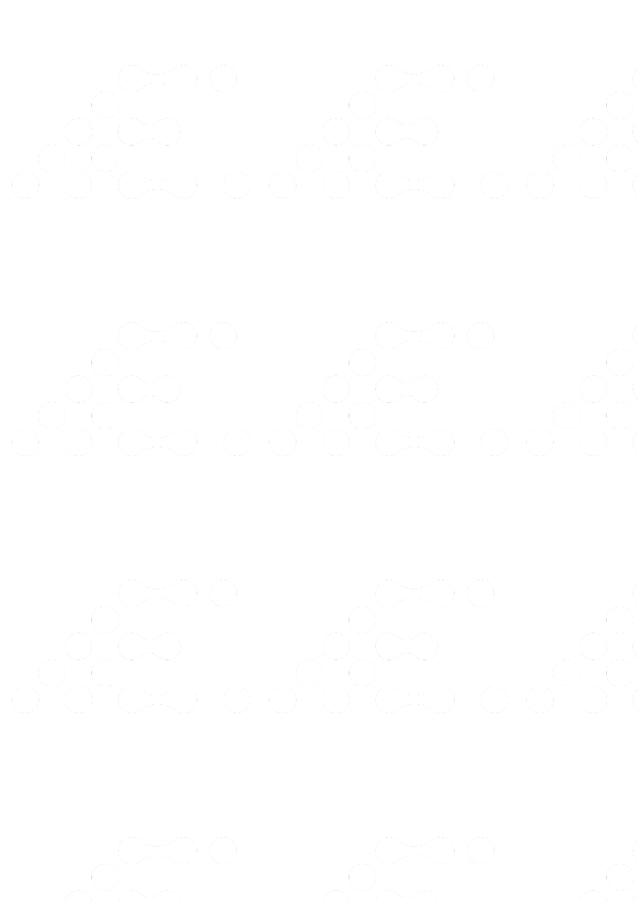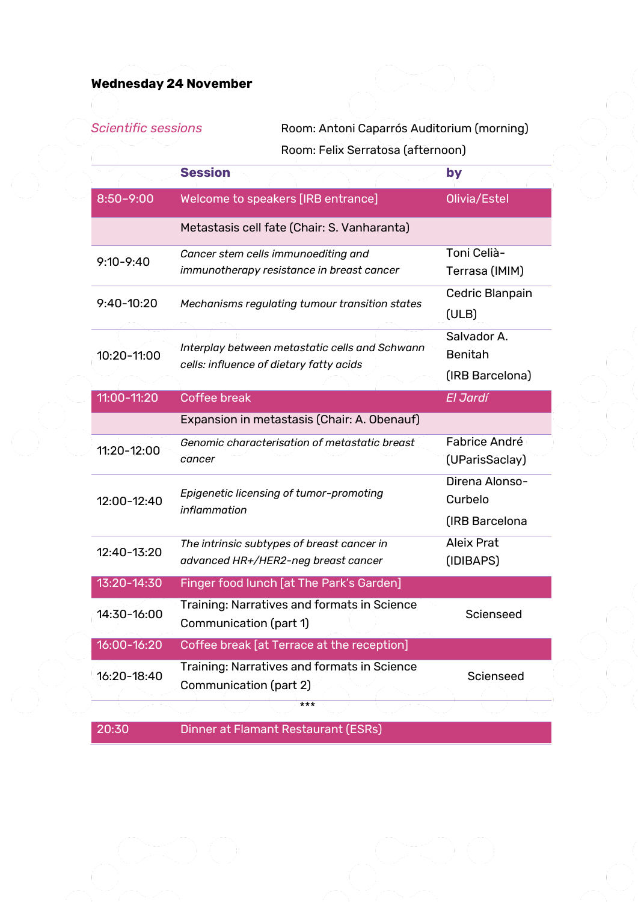# **Wednesday 24 November**

*Scientific sessions* Room: Antoni Caparrós Auditorium (morning) Room: Felix Serratosa (afternoon)

|               | <b>Session</b>                                                                            | by                                               |
|---------------|-------------------------------------------------------------------------------------------|--------------------------------------------------|
| $8:50 - 9:00$ | Welcome to speakers [IRB entrance]                                                        | Olivia/Estel                                     |
|               | Metastasis cell fate (Chair: S. Vanharanta)                                               |                                                  |
| $9:10 - 9:40$ | Cancer stem cells immunoediting and<br>immunotherapy resistance in breast cancer          | Toni Celià-<br>Terrasa (IMIM)                    |
| 9:40-10:20    | Mechanisms regulating tumour transition states                                            | Cedric Blanpain<br>(ULB)                         |
| 10:20-11:00   | Interplay between metastatic cells and Schwann<br>cells: influence of dietary fatty acids | Salvador A.<br><b>Benitah</b><br>(IRB Barcelona) |
| 11:00-11:20   | <b>Coffee break</b>                                                                       | El Jardí                                         |
|               | Expansion in metastasis (Chair: A. Obenauf)                                               |                                                  |
| 11:20-12:00   | Genomic characterisation of metastatic breast<br>cancer                                   | Fabrice André<br>(UParisSaclay)                  |
| 12:00-12:40   | Epigenetic licensing of tumor-promoting<br>inflammation                                   | Direna Alonso-<br>Curbelo<br>(IRB Barcelona      |
| 12:40-13:20   | The intrinsic subtypes of breast cancer in<br>advanced HR+/HER2-neg breast cancer         | <b>Aleix Prat</b><br>(IDIBAPS)                   |
| 13:20-14:30   | Finger food lunch [at The Park's Garden]                                                  |                                                  |
| 14:30-16:00   | Training: Narratives and formats in Science<br>Communication (part 1)                     | Scienseed                                        |
| 16:00-16:20   | Coffee break [at Terrace at the reception]                                                |                                                  |
| 16:20-18:40   | Training: Narratives and formats in Science<br>Communication (part 2)                     | Scienseed                                        |
|               | ***                                                                                       |                                                  |
| 20:30         | Dinner at Flamant Restaurant (ESRs)                                                       |                                                  |